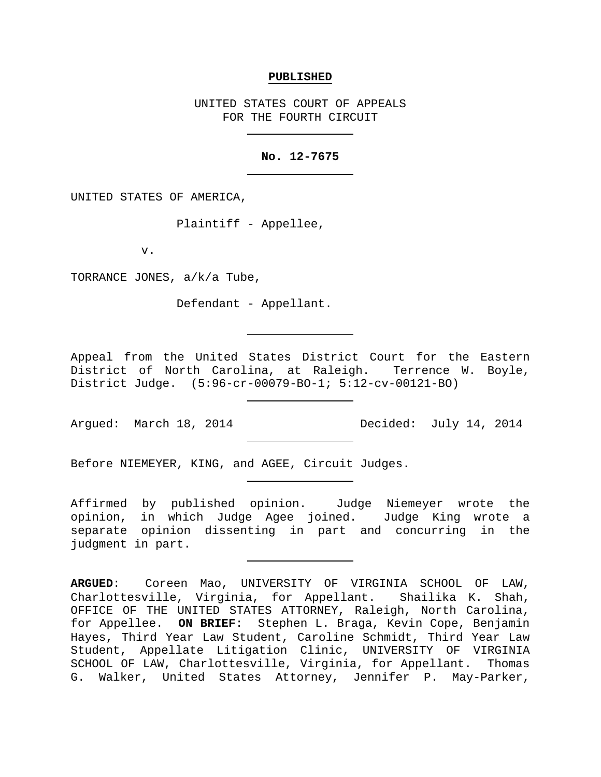## **PUBLISHED**

UNITED STATES COURT OF APPEALS FOR THE FOURTH CIRCUIT

## **No. 12-7675**

UNITED STATES OF AMERICA,

Plaintiff - Appellee,

v.

TORRANCE JONES, a/k/a Tube,

Defendant - Appellant.

Appeal from the United States District Court for the Eastern District of North Carolina, at Raleigh. Terrence W. Boyle, District Judge. (5:96-cr-00079-BO-1; 5:12-cv-00121-BO)

Before NIEMEYER, KING, and AGEE, Circuit Judges.

Affirmed by published opinion. Judge Niemeyer wrote the opinion, in which Judge Agee joined. Judge King wrote a separate opinion dissenting in part and concurring in the judgment in part.

**ARGUED**: Coreen Mao, UNIVERSITY OF VIRGINIA SCHOOL OF LAW, Charlottesville, Virginia, for Appellant. Shailika K. Shah, OFFICE OF THE UNITED STATES ATTORNEY, Raleigh, North Carolina, for Appellee. **ON BRIEF**: Stephen L. Braga, Kevin Cope, Benjamin Hayes, Third Year Law Student, Caroline Schmidt, Third Year Law Student, Appellate Litigation Clinic, UNIVERSITY OF VIRGINIA SCHOOL OF LAW, Charlottesville, Virginia, for Appellant. Thomas G. Walker, United States Attorney, Jennifer P. May-Parker,

Argued: March 18, 2014 Decided: July 14, 2014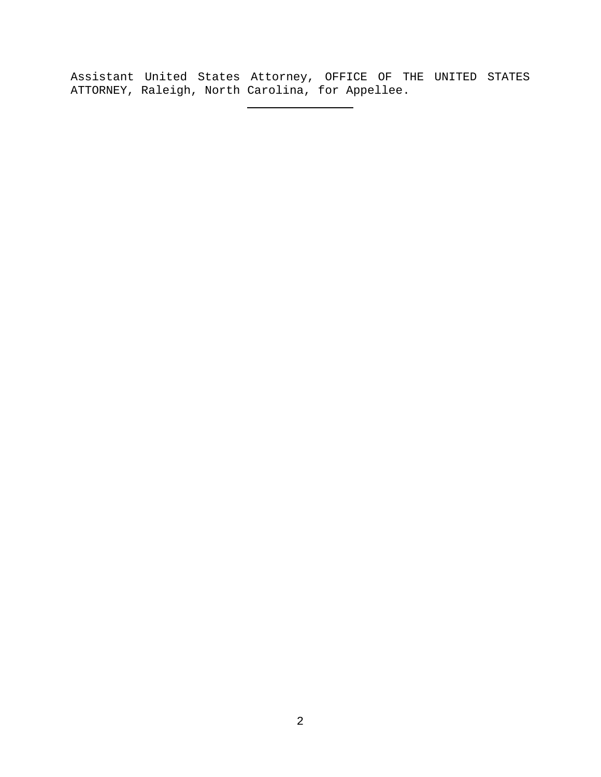Assistant United States Attorney, OFFICE OF THE UNITED STATES ATTORNEY, Raleigh, North Carolina, for Appellee.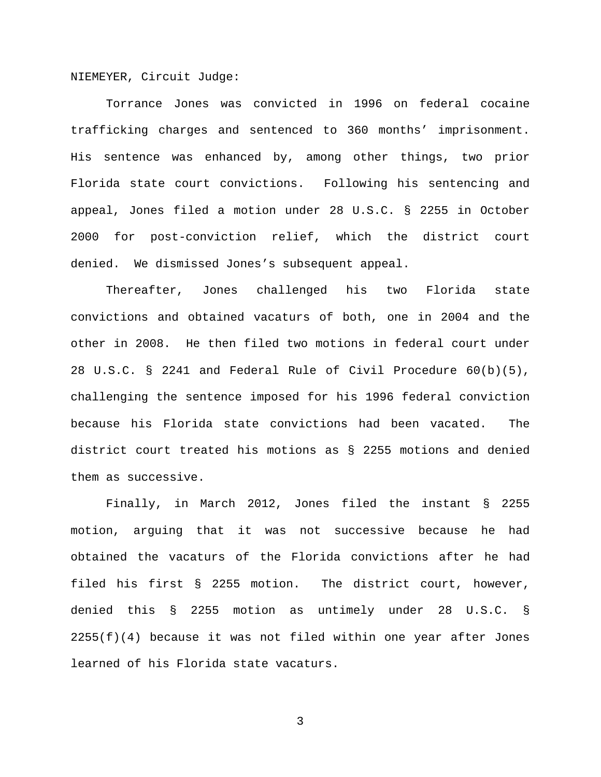NIEMEYER, Circuit Judge:

Torrance Jones was convicted in 1996 on federal cocaine trafficking charges and sentenced to 360 months' imprisonment. His sentence was enhanced by, among other things, two prior Florida state court convictions. Following his sentencing and appeal, Jones filed a motion under 28 U.S.C. § 2255 in October 2000 for post-conviction relief, which the district court denied. We dismissed Jones's subsequent appeal.

Thereafter, Jones challenged his two Florida state convictions and obtained vacaturs of both, one in 2004 and the other in 2008. He then filed two motions in federal court under 28 U.S.C. § 2241 and Federal Rule of Civil Procedure 60(b)(5), challenging the sentence imposed for his 1996 federal conviction because his Florida state convictions had been vacated. The district court treated his motions as § 2255 motions and denied them as successive.

Finally, in March 2012, Jones filed the instant § 2255 motion, arguing that it was not successive because he had obtained the vacaturs of the Florida convictions after he had filed his first § 2255 motion. The district court, however, denied this § 2255 motion as untimely under 28 U.S.C. §  $2255(f)(4)$  because it was not filed within one year after Jones learned of his Florida state vacaturs.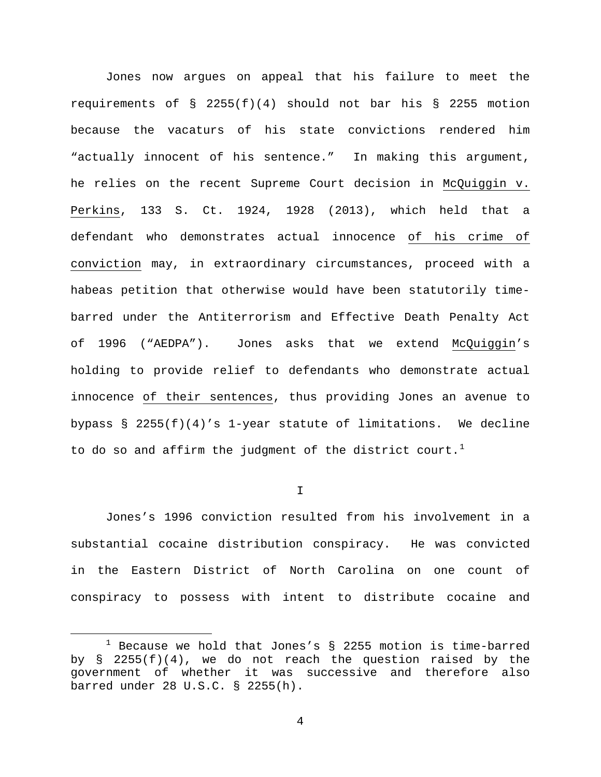Jones now argues on appeal that his failure to meet the requirements of  $\S$  2255(f)(4) should not bar his  $\S$  2255 motion because the vacaturs of his state convictions rendered him "actually innocent of his sentence." In making this argument, he relies on the recent Supreme Court decision in McQuiggin v. Perkins, 133 S. Ct. 1924, 1928 (2013), which held that a defendant who demonstrates actual innocence of his crime of conviction may, in extraordinary circumstances, proceed with a habeas petition that otherwise would have been statutorily timebarred under the Antiterrorism and Effective Death Penalty Act of 1996 ("AEDPA"). Jones asks that we extend McQuiggin's holding to provide relief to defendants who demonstrate actual innocence of their sentences, thus providing Jones an avenue to bypass § 2255(f)(4)'s 1-year statute of limitations. We decline to do so and affirm the judgment of the district court.<sup>[1](#page-3-0)</sup>

I

Jones's 1996 conviction resulted from his involvement in a substantial cocaine distribution conspiracy. He was convicted in the Eastern District of North Carolina on one count of conspiracy to possess with intent to distribute cocaine and

<span id="page-3-0"></span> $1$  Because we hold that Jones's § 2255 motion is time-barred by  $\S$  2255(f)(4), we do not reach the question raised by the government of whether it was successive and therefore also barred under 28 U.S.C. § 2255(h).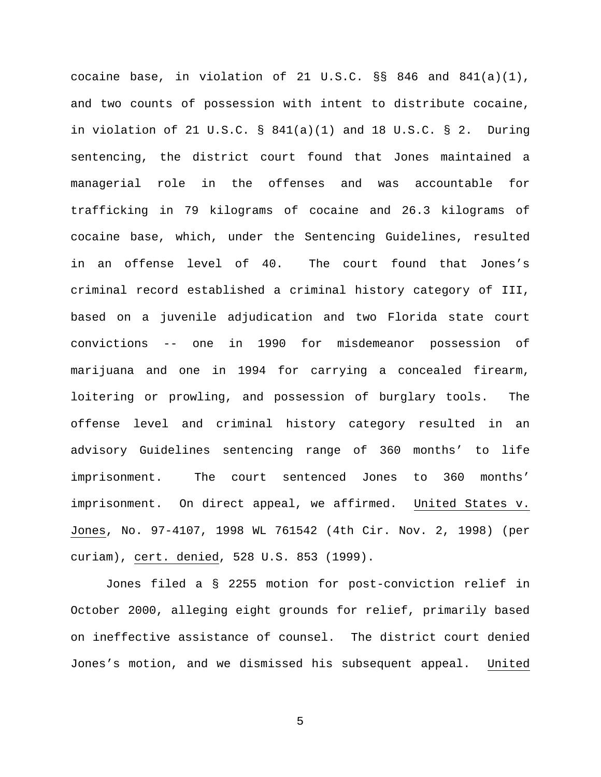cocaine base, in violation of 21 U.S.C. §§ 846 and 841(a)(1), and two counts of possession with intent to distribute cocaine, in violation of 21 U.S.C.  $\S$  841(a)(1) and 18 U.S.C.  $\S$  2. During sentencing, the district court found that Jones maintained a managerial role in the offenses and was accountable for trafficking in 79 kilograms of cocaine and 26.3 kilograms of cocaine base, which, under the Sentencing Guidelines, resulted in an offense level of 40. The court found that Jones's criminal record established a criminal history category of III, based on a juvenile adjudication and two Florida state court convictions -- one in 1990 for misdemeanor possession of marijuana and one in 1994 for carrying a concealed firearm, loitering or prowling, and possession of burglary tools. The offense level and criminal history category resulted in an advisory Guidelines sentencing range of 360 months' to life imprisonment. The court sentenced Jones to 360 months' imprisonment. On direct appeal, we affirmed. United States v. Jones, No. 97-4107, 1998 WL 761542 (4th Cir. Nov. 2, 1998) (per curiam), cert. denied, 528 U.S. 853 (1999).

Jones filed a § 2255 motion for post-conviction relief in October 2000, alleging eight grounds for relief, primarily based on ineffective assistance of counsel. The district court denied Jones's motion, and we dismissed his subsequent appeal. United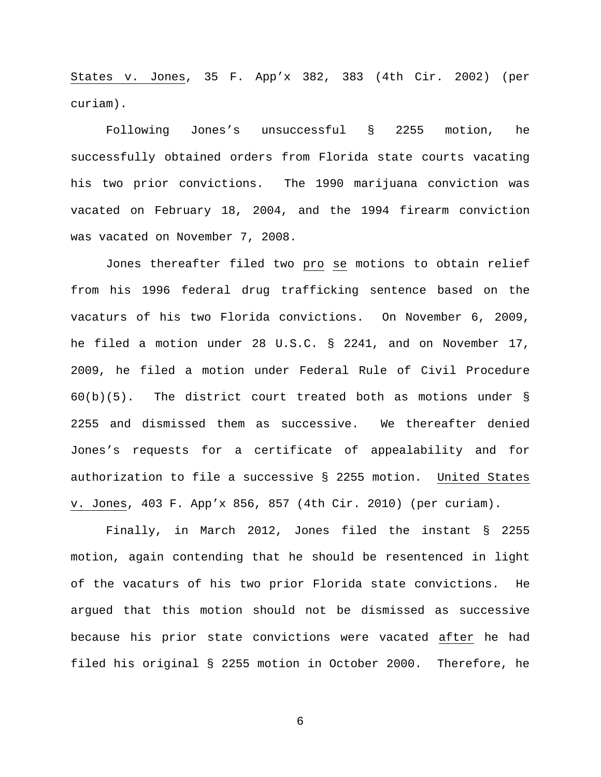States v. Jones, 35 F. App'x 382, 383 (4th Cir. 2002) (per curiam).

Following Jones's unsuccessful § 2255 motion, he successfully obtained orders from Florida state courts vacating his two prior convictions. The 1990 marijuana conviction was vacated on February 18, 2004, and the 1994 firearm conviction was vacated on November 7, 2008.

Jones thereafter filed two pro se motions to obtain relief from his 1996 federal drug trafficking sentence based on the vacaturs of his two Florida convictions. On November 6, 2009, he filed a motion under 28 U.S.C. § 2241, and on November 17, 2009, he filed a motion under Federal Rule of Civil Procedure 60(b)(5). The district court treated both as motions under § 2255 and dismissed them as successive. We thereafter denied Jones's requests for a certificate of appealability and for authorization to file a successive § 2255 motion. United States v. Jones, 403 F. App'x 856, 857 (4th Cir. 2010) (per curiam).

Finally, in March 2012, Jones filed the instant § 2255 motion, again contending that he should be resentenced in light of the vacaturs of his two prior Florida state convictions. He argued that this motion should not be dismissed as successive because his prior state convictions were vacated after he had filed his original § 2255 motion in October 2000. Therefore, he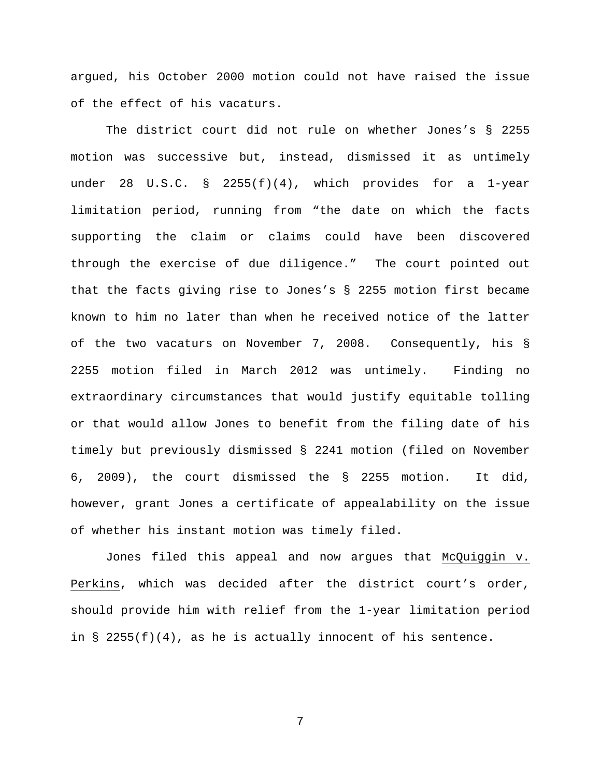argued, his October 2000 motion could not have raised the issue of the effect of his vacaturs.

The district court did not rule on whether Jones's § 2255 motion was successive but, instead, dismissed it as untimely under 28 U.S.C. § 2255(f)(4), which provides for a 1-year limitation period, running from "the date on which the facts supporting the claim or claims could have been discovered through the exercise of due diligence." The court pointed out that the facts giving rise to Jones's § 2255 motion first became known to him no later than when he received notice of the latter of the two vacaturs on November 7, 2008. Consequently, his § 2255 motion filed in March 2012 was untimely. Finding no extraordinary circumstances that would justify equitable tolling or that would allow Jones to benefit from the filing date of his timely but previously dismissed § 2241 motion (filed on November 6, 2009), the court dismissed the § 2255 motion. It did, however, grant Jones a certificate of appealability on the issue of whether his instant motion was timely filed.

Jones filed this appeal and now argues that McQuiggin v. Perkins, which was decided after the district court's order, should provide him with relief from the 1-year limitation period in  $\S$  2255(f)(4), as he is actually innocent of his sentence.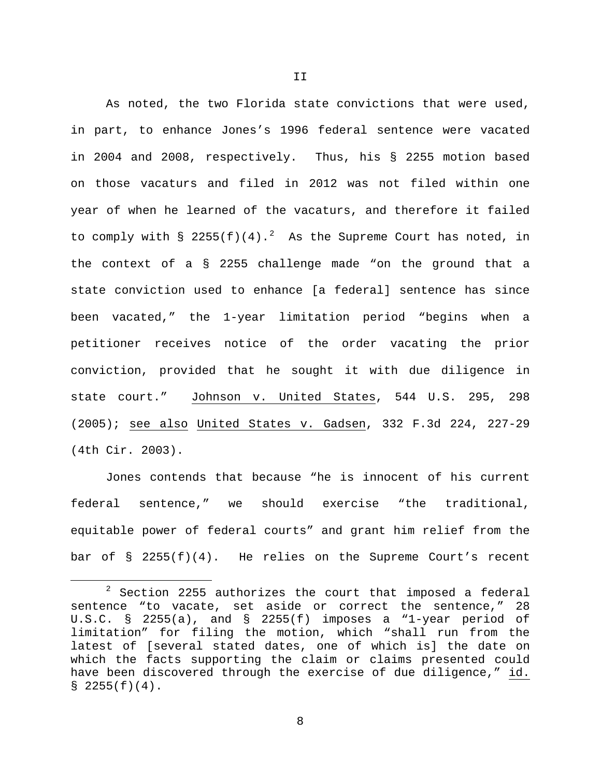As noted, the two Florida state convictions that were used, in part, to enhance Jones's 1996 federal sentence were vacated in 2004 and 2008, respectively. Thus, his § 2255 motion based on those vacaturs and filed in 2012 was not filed within one year of when he learned of the vacaturs, and therefore it failed to comply with  $\S$  [2](#page-7-0)255(f)(4).<sup>2</sup> As the Supreme Court has noted, in the context of a § 2255 challenge made "on the ground that a state conviction used to enhance [a federal] sentence has since been vacated," the 1-year limitation period "begins when a petitioner receives notice of the order vacating the prior conviction, provided that he sought it with due diligence in state court." Johnson v. United States, 544 U.S. 295, 298 (2005); see also United States v. Gadsen, 332 F.3d 224, 227-29 (4th Cir. 2003).

Jones contends that because "he is innocent of his current federal sentence," we should exercise "the traditional, equitable power of federal courts" and grant him relief from the bar of  $\S$  2255(f)(4). He relies on the Supreme Court's recent

<span id="page-7-0"></span> $2$  Section 2255 authorizes the court that imposed a federal sentence "to vacate, set aside or correct the sentence," 28 U.S.C. § 2255(a), and § 2255(f) imposes a "1-year period of limitation" for filing the motion, which "shall run from the latest of [several stated dates, one of which is] the date on which the facts supporting the claim or claims presented could have been discovered through the exercise of due diligence," id.  $$2255(f)(4)$ .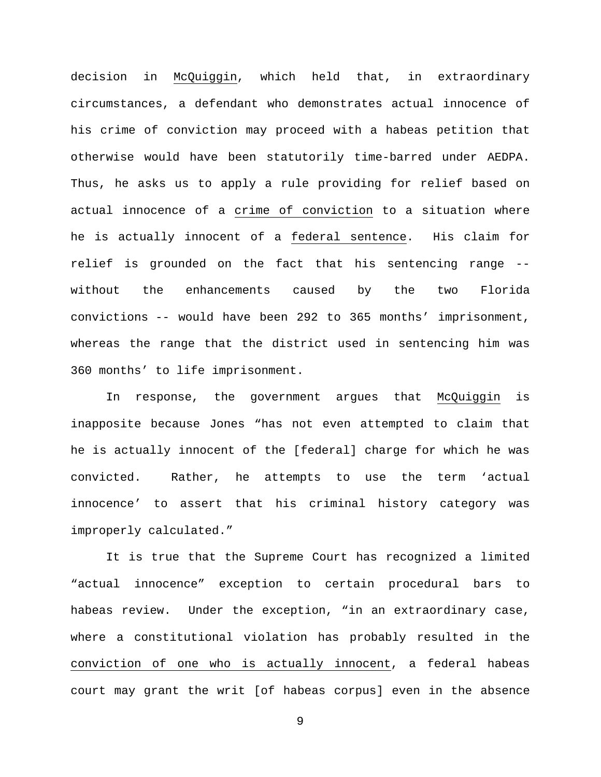decision in McQuiggin, which held that, in extraordinary circumstances, a defendant who demonstrates actual innocence of his crime of conviction may proceed with a habeas petition that otherwise would have been statutorily time-barred under AEDPA. Thus, he asks us to apply a rule providing for relief based on actual innocence of a crime of conviction to a situation where he is actually innocent of a federal sentence. His claim for relief is grounded on the fact that his sentencing range - without the enhancements caused by the two Florida convictions -- would have been 292 to 365 months' imprisonment, whereas the range that the district used in sentencing him was 360 months' to life imprisonment.

In response, the government argues that McQuiggin is inapposite because Jones "has not even attempted to claim that he is actually innocent of the [federal] charge for which he was convicted. Rather, he attempts to use the term 'actual innocence' to assert that his criminal history category was improperly calculated."

It is true that the Supreme Court has recognized a limited "actual innocence" exception to certain procedural bars to habeas review. Under the exception, "in an extraordinary case, where a constitutional violation has probably resulted in the conviction of one who is actually innocent, a federal habeas court may grant the writ [of habeas corpus] even in the absence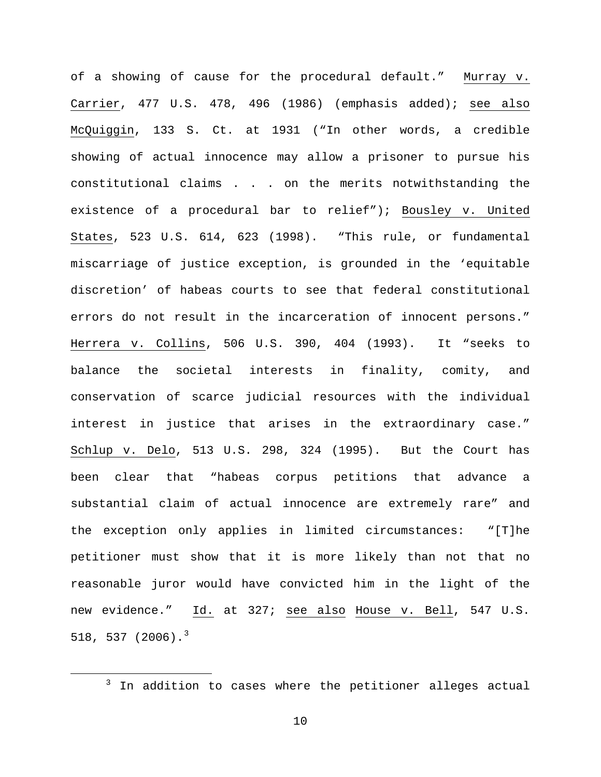of a showing of cause for the procedural default." Murray v. Carrier, 477 U.S. 478, 496 (1986) (emphasis added); see also McQuiggin, 133 S. Ct. at 1931 ("In other words, a credible showing of actual innocence may allow a prisoner to pursue his constitutional claims . . . on the merits notwithstanding the existence of a procedural bar to relief"); Bousley v. United States, 523 U.S. 614, 623 (1998). "This rule, or fundamental miscarriage of justice exception, is grounded in the 'equitable discretion' of habeas courts to see that federal constitutional errors do not result in the incarceration of innocent persons." Herrera v. Collins, 506 U.S. 390, 404 (1993). It "seeks to balance the societal interests in finality, comity, and conservation of scarce judicial resources with the individual interest in justice that arises in the extraordinary case." Schlup v. Delo, 513 U.S. 298, 324 (1995). But the Court has been clear that "habeas corpus petitions that advance a substantial claim of actual innocence are extremely rare" and the exception only applies in limited circumstances: "[T]he petitioner must show that it is more likely than not that no reasonable juror would have convicted him in the light of the new evidence." Id. at 327; see also House v. Bell, 547 U.S. 518, 5[3](#page-9-0)7 (2006).<sup>3</sup>

<span id="page-9-0"></span><sup>&</sup>lt;sup>3</sup> In addition to cases where the petitioner alleges actual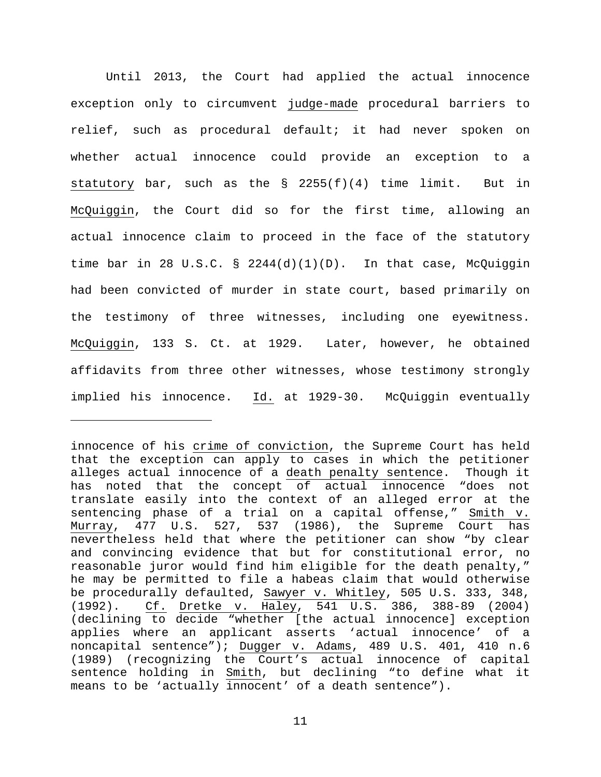Until 2013, the Court had applied the actual innocence exception only to circumvent judge-made procedural barriers to relief, such as procedural default; it had never spoken on whether actual innocence could provide an exception to a statutory bar, such as the  $\S$  2255(f)(4) time limit. But in McQuiggin, the Court did so for the first time, allowing an actual innocence claim to proceed in the face of the statutory time bar in 28 U.S.C. § 2244(d)(1)(D). In that case, McQuiggin had been convicted of murder in state court, based primarily on the testimony of three witnesses, including one eyewitness. McQuiggin, 133 S. Ct. at 1929. Later, however, he obtained affidavits from three other witnesses, whose testimony strongly implied his innocence. Id. at 1929-30. McQuiggin eventually

ī

innocence of his crime of conviction, the Supreme Court has held that the exception can apply to cases in which the petitioner alleges actual innocence of a death penalty sentence. Though it has noted that the concept of actual innocence "does not translate easily into the context of an alleged error at the sentencing phase of a trial on a capital offense," Smith v. Murray, 477 U.S. 527, 537 (1986), the Supreme Court has nevertheless held that where the petitioner can show "by clear and convincing evidence that but for constitutional error, no reasonable juror would find him eligible for the death penalty," he may be permitted to file a habeas claim that would otherwise be procedurally defaulted, Sawyer v. Whitley, 505 U.S. 333, 348, (1992). Cf. Dretke v. Haley, 541 U.S. 386, 388-89 (2004) (declining to decide "whether [the actual innocence] exception applies where an applicant asserts 'actual innocence' of a noncapital sentence"); Dugger v. Adams, 489 U.S. 401, 410 n.6 (1989) (recognizing the Court's actual innocence of capital sentence holding in Smith, but declining "to define what it means to be 'actually innocent' of a death sentence").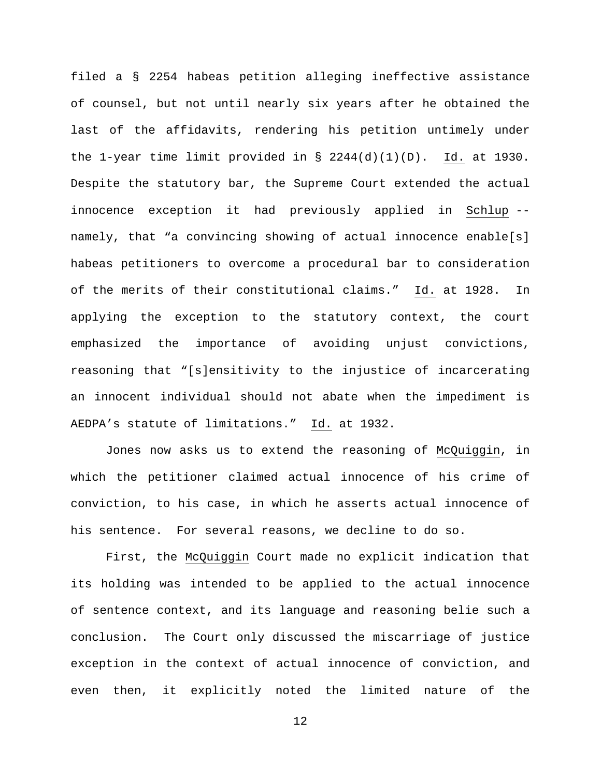filed a § 2254 habeas petition alleging ineffective assistance of counsel, but not until nearly six years after he obtained the last of the affidavits, rendering his petition untimely under the 1-year time limit provided in § 2244(d)(1)(D). Id. at 1930. Despite the statutory bar, the Supreme Court extended the actual innocence exception it had previously applied in Schlup - namely, that "a convincing showing of actual innocence enable[s] habeas petitioners to overcome a procedural bar to consideration of the merits of their constitutional claims." Id. at 1928. In applying the exception to the statutory context, the court emphasized the importance of avoiding unjust convictions, reasoning that "[s]ensitivity to the injustice of incarcerating an innocent individual should not abate when the impediment is AEDPA's statute of limitations." Id. at 1932.

Jones now asks us to extend the reasoning of McQuiggin, in which the petitioner claimed actual innocence of his crime of conviction, to his case, in which he asserts actual innocence of his sentence. For several reasons, we decline to do so.

First, the McQuiggin Court made no explicit indication that its holding was intended to be applied to the actual innocence of sentence context, and its language and reasoning belie such a conclusion. The Court only discussed the miscarriage of justice exception in the context of actual innocence of conviction, and even then, it explicitly noted the limited nature of the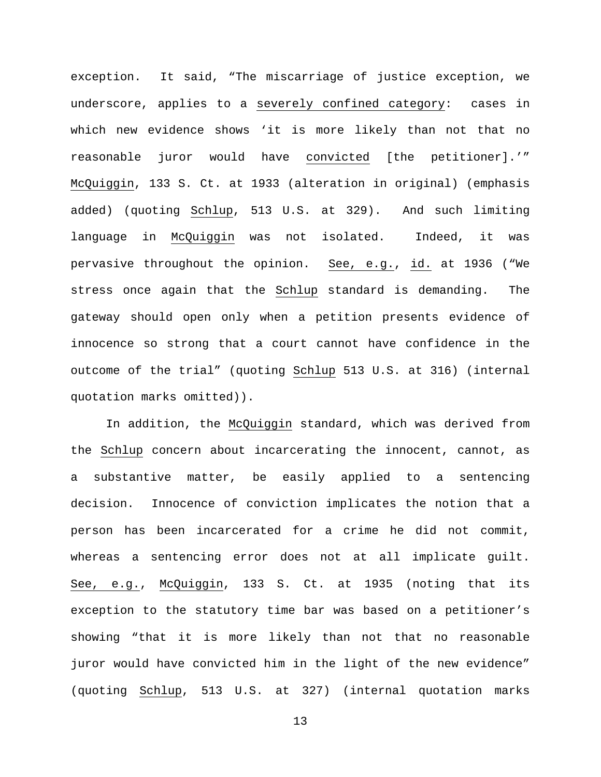exception. It said, "The miscarriage of justice exception, we underscore, applies to a severely confined category: cases in which new evidence shows 'it is more likely than not that no reasonable juror would have convicted [the petitioner].'" McQuiggin, 133 S. Ct. at 1933 (alteration in original) (emphasis added) (quoting Schlup, 513 U.S. at 329). And such limiting language in McQuiggin was not isolated. Indeed, it was pervasive throughout the opinion. See, e.g., id. at 1936 ("We stress once again that the Schlup standard is demanding. The gateway should open only when a petition presents evidence of innocence so strong that a court cannot have confidence in the outcome of the trial" (quoting Schlup 513 U.S. at 316) (internal quotation marks omitted)).

In addition, the McQuiggin standard, which was derived from the Schlup concern about incarcerating the innocent, cannot, as a substantive matter, be easily applied to a sentencing decision. Innocence of conviction implicates the notion that a person has been incarcerated for a crime he did not commit, whereas a sentencing error does not at all implicate guilt. See, e.g., McQuiggin, 133 S. Ct. at 1935 (noting that its exception to the statutory time bar was based on a petitioner's showing "that it is more likely than not that no reasonable juror would have convicted him in the light of the new evidence" (quoting Schlup, 513 U.S. at 327) (internal quotation marks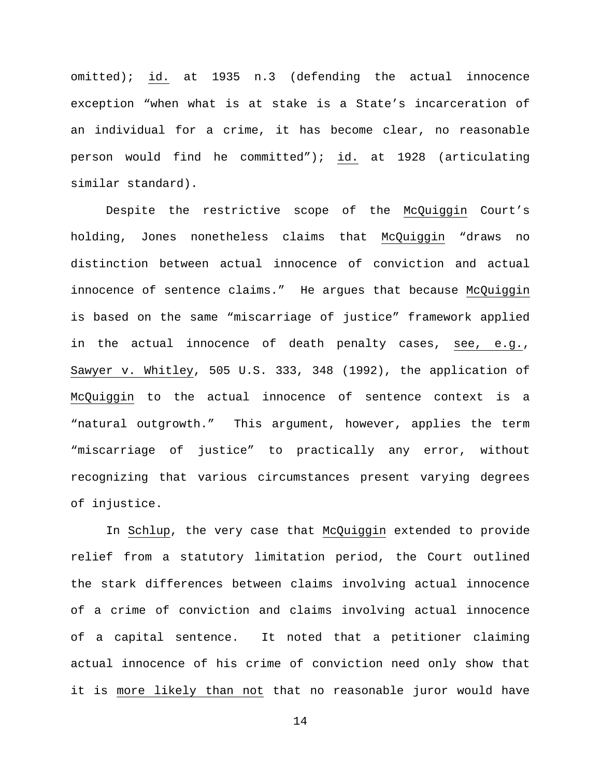omitted); id. at 1935 n.3 (defending the actual innocence exception "when what is at stake is a State's incarceration of an individual for a crime, it has become clear, no reasonable person would find he committed"); id. at 1928 (articulating similar standard).

Despite the restrictive scope of the McQuiggin Court's holding, Jones nonetheless claims that McQuiggin "draws no distinction between actual innocence of conviction and actual innocence of sentence claims." He argues that because McQuiggin is based on the same "miscarriage of justice" framework applied in the actual innocence of death penalty cases, see, e.g., Sawyer v. Whitley, 505 U.S. 333, 348 (1992), the application of McQuiggin to the actual innocence of sentence context is a "natural outgrowth." This argument, however, applies the term "miscarriage of justice" to practically any error, without recognizing that various circumstances present varying degrees of injustice.

In Schlup, the very case that McQuiggin extended to provide relief from a statutory limitation period, the Court outlined the stark differences between claims involving actual innocence of a crime of conviction and claims involving actual innocence of a capital sentence. It noted that a petitioner claiming actual innocence of his crime of conviction need only show that it is more likely than not that no reasonable juror would have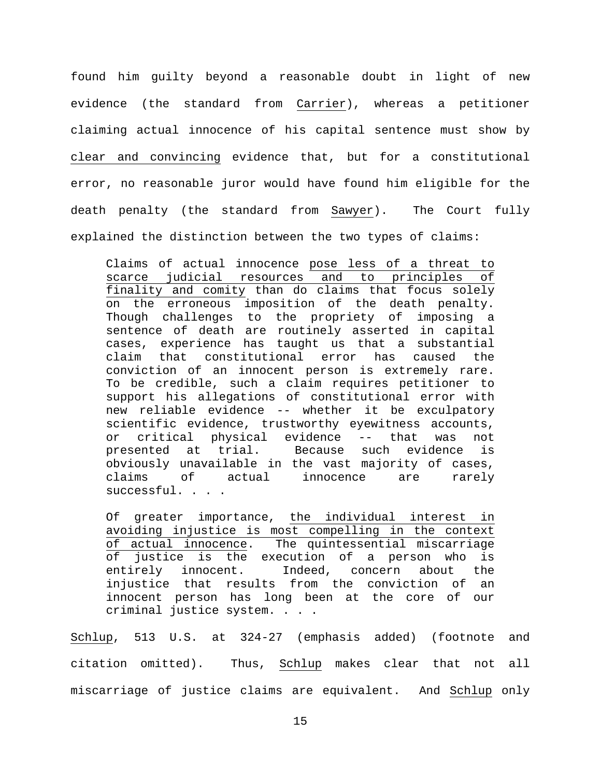found him guilty beyond a reasonable doubt in light of new evidence (the standard from Carrier), whereas a petitioner claiming actual innocence of his capital sentence must show by clear and convincing evidence that, but for a constitutional error, no reasonable juror would have found him eligible for the death penalty (the standard from Sawyer). The Court fully explained the distinction between the two types of claims:

Claims of actual innocence pose less of a threat to scarce judicial resources and to principles of finality and comity than do claims that focus solely on the erroneous imposition of the death penalty. Though challenges to the propriety of imposing a sentence of death are routinely asserted in capital cases, experience has taught us that a substantial claim that constitutional error has caused the conviction of an innocent person is extremely rare. To be credible, such a claim requires petitioner to support his allegations of constitutional error with new reliable evidence -- whether it be exculpatory scientific evidence, trustworthy eyewitness accounts, or critical physical evidence -- that was not<br>presented at trial. Because such evidence is presented at trial. Because such evidence is obviously unavailable in the vast majority of cases, claims of actual innocence are rarely successful. . . .

Of greater importance, the individual interest in avoiding injustice is most compelling in the context of actual innocence. The quintessential miscarriage of justice is the execution of a person who is<br>entirely innocent. Indeed, concern about the entirely innocent. Indeed, concern about the injustice that results from the conviction of an innocent person has long been at the core of our criminal justice system. . . .

Schlup, 513 U.S. at 324-27 (emphasis added) (footnote and citation omitted). Thus, Schlup makes clear that not all miscarriage of justice claims are equivalent. And Schlup only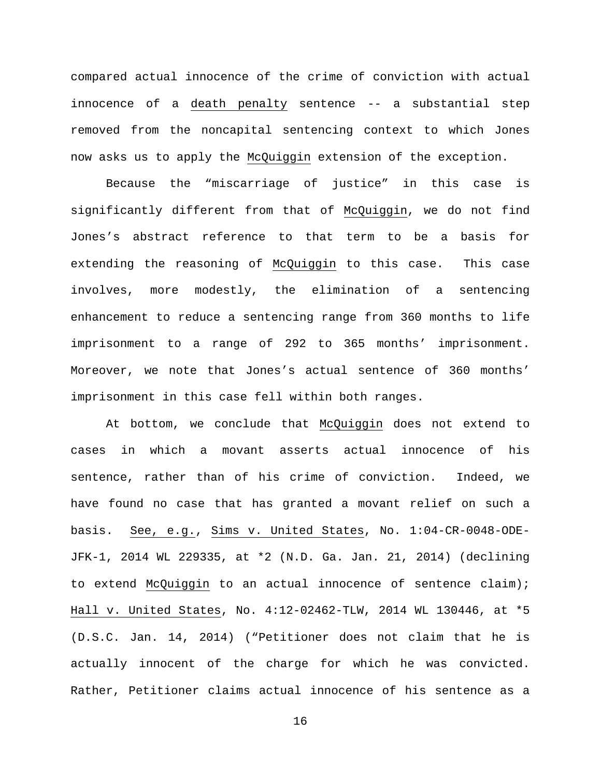compared actual innocence of the crime of conviction with actual innocence of a death penalty sentence -- a substantial step removed from the noncapital sentencing context to which Jones now asks us to apply the McQuiggin extension of the exception.

Because the "miscarriage of justice" in this case is significantly different from that of McQuiggin, we do not find Jones's abstract reference to that term to be a basis for extending the reasoning of McQuiggin to this case. This case involves, more modestly, the elimination of a sentencing enhancement to reduce a sentencing range from 360 months to life imprisonment to a range of 292 to 365 months' imprisonment. Moreover, we note that Jones's actual sentence of 360 months' imprisonment in this case fell within both ranges.

At bottom, we conclude that McQuiggin does not extend to cases in which a movant asserts actual innocence of his sentence, rather than of his crime of conviction. Indeed, we have found no case that has granted a movant relief on such a basis. See, e.g., Sims v. United States, No. 1:04-CR-0048-ODE-JFK-1, 2014 WL 229335, at \*2 (N.D. Ga. Jan. 21, 2014) (declining to extend McQuiggin to an actual innocence of sentence claim); Hall v. United States, No. 4:12-02462-TLW, 2014 WL 130446, at \*5 (D.S.C. Jan. 14, 2014) ("Petitioner does not claim that he is actually innocent of the charge for which he was convicted. Rather, Petitioner claims actual innocence of his sentence as a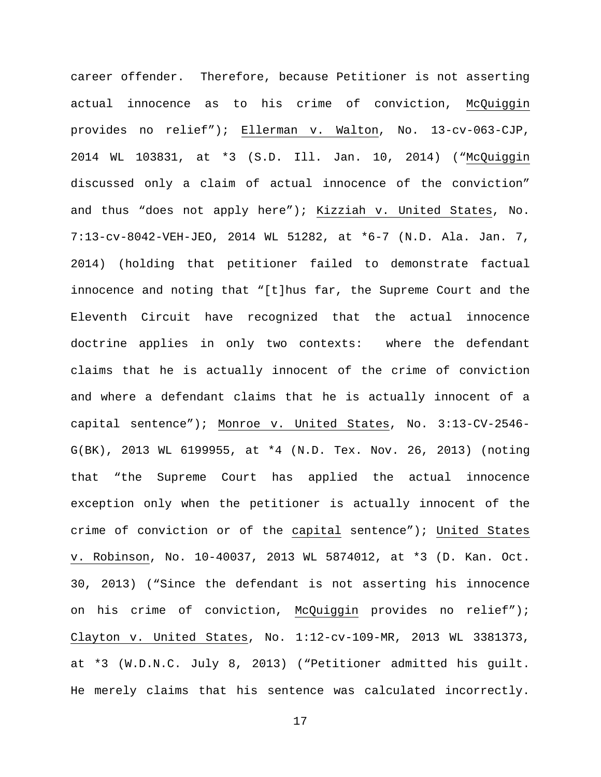career offender. Therefore, because Petitioner is not asserting actual innocence as to his crime of conviction, McQuiggin provides no relief"); Ellerman v. Walton, No. 13-cv-063-CJP, 2014 WL 103831, at \*3 (S.D. Ill. Jan. 10, 2014) ("McQuiggin discussed only a claim of actual innocence of the conviction" and thus "does not apply here"); Kizziah v. United States, No. 7:13-cv-8042-VEH-JEO, 2014 WL 51282, at \*6-7 (N.D. Ala. Jan. 7, 2014) (holding that petitioner failed to demonstrate factual innocence and noting that "[t]hus far, the Supreme Court and the Eleventh Circuit have recognized that the actual innocence doctrine applies in only two contexts: where the defendant claims that he is actually innocent of the crime of conviction and where a defendant claims that he is actually innocent of a capital sentence"); Monroe v. United States, No. 3:13-CV-2546- G(BK), 2013 WL 6199955, at \*4 (N.D. Tex. Nov. 26, 2013) (noting that "the Supreme Court has applied the actual innocence exception only when the petitioner is actually innocent of the crime of conviction or of the capital sentence"); United States v. Robinson, No. 10-40037, 2013 WL 5874012, at \*3 (D. Kan. Oct. 30, 2013) ("Since the defendant is not asserting his innocence on his crime of conviction, McQuiggin provides no relief"); Clayton v. United States, No. 1:12-cv-109-MR, 2013 WL 3381373, at \*3 (W.D.N.C. July 8, 2013) ("Petitioner admitted his guilt. He merely claims that his sentence was calculated incorrectly.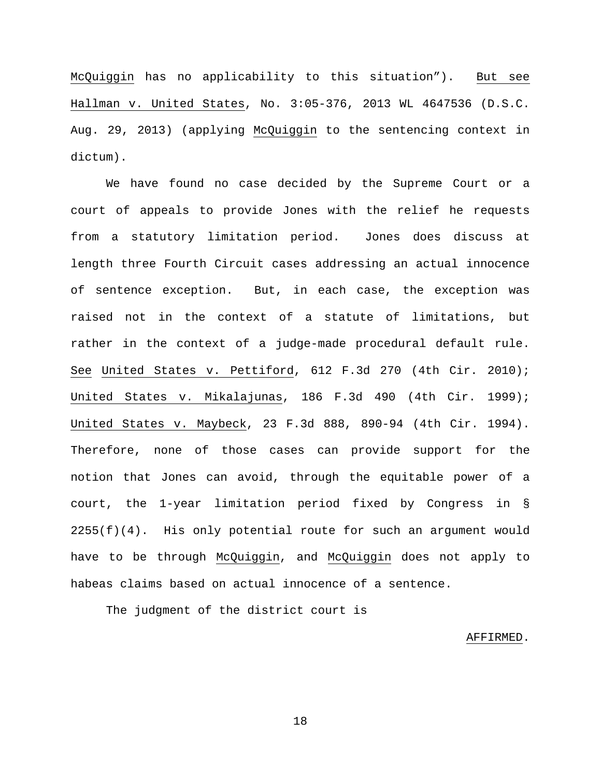McQuiggin has no applicability to this situation"). But see Hallman v. United States, No. 3:05-376, 2013 WL 4647536 (D.S.C. Aug. 29, 2013) (applying McQuiggin to the sentencing context in dictum).

We have found no case decided by the Supreme Court or a court of appeals to provide Jones with the relief he requests from a statutory limitation period. Jones does discuss at length three Fourth Circuit cases addressing an actual innocence of sentence exception. But, in each case, the exception was raised not in the context of a statute of limitations, but rather in the context of a judge-made procedural default rule. See United States v. Pettiford, 612 F.3d 270 (4th Cir. 2010); United States v. Mikalajunas, 186 F.3d 490 (4th Cir. 1999); United States v. Maybeck, 23 F.3d 888, 890-94 (4th Cir. 1994). Therefore, none of those cases can provide support for the notion that Jones can avoid, through the equitable power of a court, the 1-year limitation period fixed by Congress in §  $2255(f)(4)$ . His only potential route for such an argument would have to be through McQuiggin, and McQuiggin does not apply to habeas claims based on actual innocence of a sentence.

The judgment of the district court is

## AFFIRMED.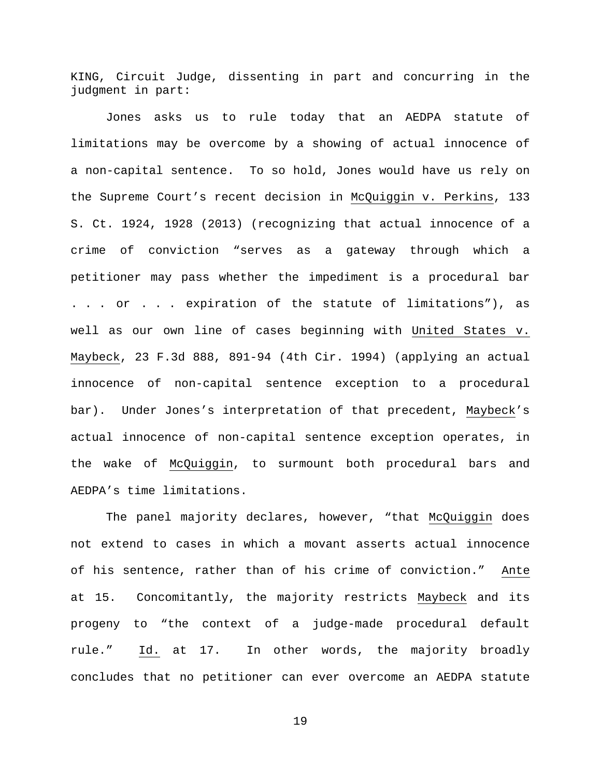KING, Circuit Judge, dissenting in part and concurring in the judgment in part:

Jones asks us to rule today that an AEDPA statute of limitations may be overcome by a showing of actual innocence of a non-capital sentence. To so hold, Jones would have us rely on the Supreme Court's recent decision in McQuiggin v. Perkins, 133 S. Ct. 1924, 1928 (2013) (recognizing that actual innocence of a crime of conviction "serves as a gateway through which a petitioner may pass whether the impediment is a procedural bar . . . or . . . expiration of the statute of limitations"), as well as our own line of cases beginning with United States v. Maybeck, 23 F.3d 888, 891-94 (4th Cir. 1994) (applying an actual innocence of non-capital sentence exception to a procedural bar). Under Jones's interpretation of that precedent, Maybeck's actual innocence of non-capital sentence exception operates, in the wake of McQuiggin, to surmount both procedural bars and AEDPA's time limitations.

The panel majority declares, however, "that McQuiggin does not extend to cases in which a movant asserts actual innocence of his sentence, rather than of his crime of conviction." Ante at 15. Concomitantly, the majority restricts Maybeck and its progeny to "the context of a judge-made procedural default rule." Id. at 17. In other words, the majority broadly concludes that no petitioner can ever overcome an AEDPA statute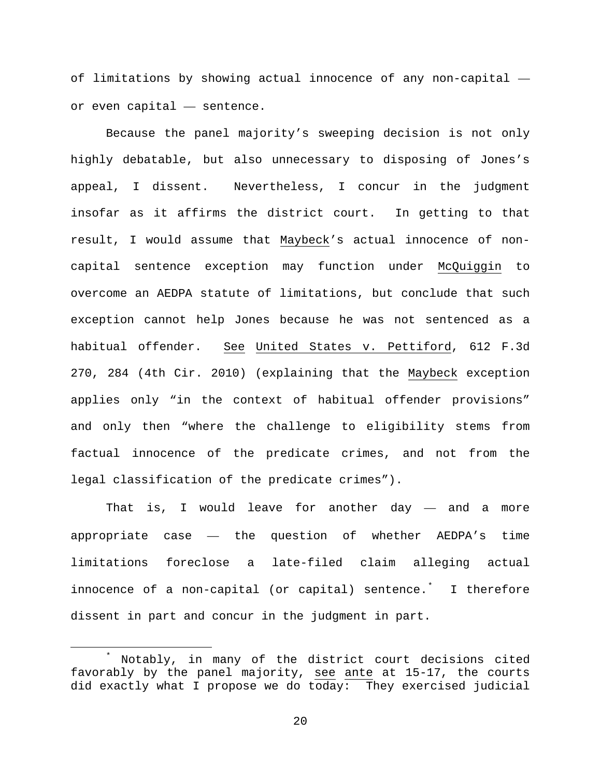of limitations by showing actual innocence of any non-capital or even capital — sentence.

Because the panel majority's sweeping decision is not only highly debatable, but also unnecessary to disposing of Jones's appeal, I dissent. Nevertheless, I concur in the judgment insofar as it affirms the district court. In getting to that result, I would assume that Maybeck's actual innocence of noncapital sentence exception may function under McQuiggin to overcome an AEDPA statute of limitations, but conclude that such exception cannot help Jones because he was not sentenced as a habitual offender. See United States v. Pettiford, 612 F.3d 270, 284 (4th Cir. 2010) (explaining that the Maybeck exception applies only "in the context of habitual offender provisions" and only then "where the challenge to eligibility stems from factual innocence of the predicate crimes, and not from the legal classification of the predicate crimes").

That is, I would leave for another  $day -$  and a more appropriate case — the question of whether AEDPA's time limitations foreclose a late-filed claim alleging actual innocence of a non-capital (or capital) sentence.[\\*](#page-19-0) I therefore dissent in part and concur in the judgment in part.

<span id="page-19-0"></span> <sup>\*</sup> Notably, in many of the district court decisions cited favorably by the panel majority, see ante at 15-17, the courts did exactly what I propose we do today: They exercised judicial